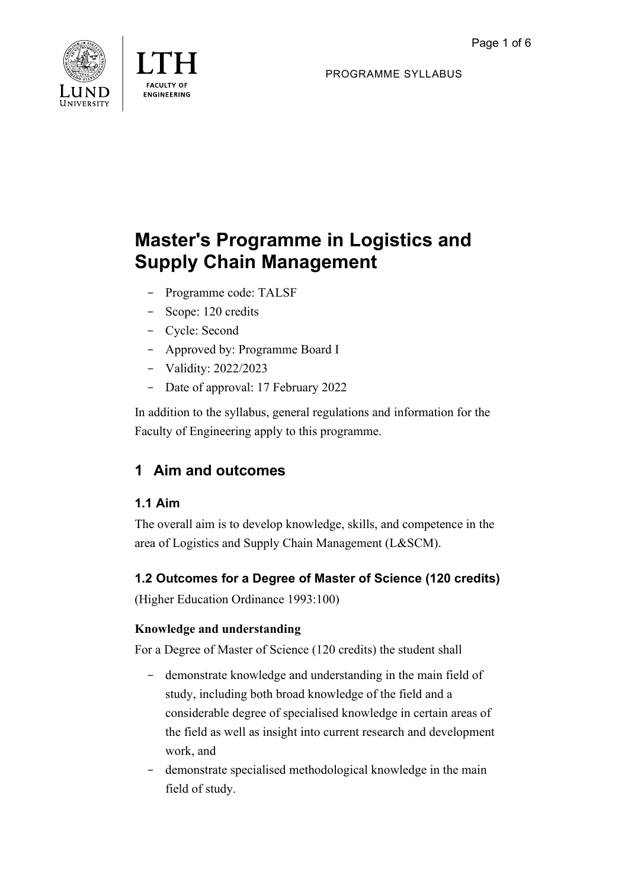



PROGRAMME SYLLABUS

# **Master's Programme in Logistics and Supply Chain Management**

- Programme code: TALSF
- Scope: 120 credits
- Cycle: Second
- Approved by: Programme Board I
- Validity: 2022/2023
- Date of approval: 17 February 2022

In addition to the syllabus, general regulations and information for the Faculty of Engineering apply to this programme.

# **1 Aim and outcomes**

# **1.1 Aim**

The overall aim is to develop knowledge, skills, and competence in the area of Logistics and Supply Chain Management (L&SCM).

# **1.2 Outcomes for a Degree of Master of Science (120 credits)**

(Higher Education Ordinance 1993:100)

# **Knowledge and understanding**

For a Degree of Master of Science (120 credits) the student shall

- demonstrate knowledge and understanding in the main field of study, including both broad knowledge of the field and a considerable degree of specialised knowledge in certain areas of the field as well as insight into current research and development work, and
- demonstrate specialised methodological knowledge in the main field of study.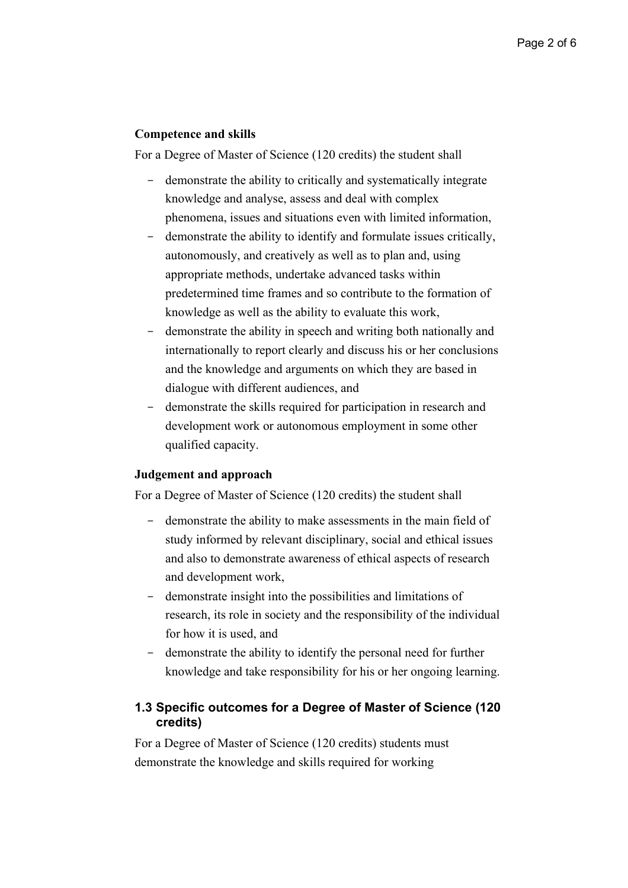### **Competence and skills**

For a Degree of Master of Science (120 credits) the student shall

- demonstrate the ability to critically and systematically integrate knowledge and analyse, assess and deal with complex phenomena, issues and situations even with limited information,
- demonstrate the ability to identify and formulate issues critically, autonomously, and creatively as well as to plan and, using appropriate methods, undertake advanced tasks within predetermined time frames and so contribute to the formation of knowledge as well as the ability to evaluate this work,
- demonstrate the ability in speech and writing both nationally and internationally to report clearly and discuss his or her conclusions and the knowledge and arguments on which they are based in dialogue with different audiences, and
- demonstrate the skills required for participation in research and development work or autonomous employment in some other qualified capacity.

### **Judgement and approach**

For a Degree of Master of Science (120 credits) the student shall

- demonstrate the ability to make assessments in the main field of study informed by relevant disciplinary, social and ethical issues and also to demonstrate awareness of ethical aspects of research and development work,
- demonstrate insight into the possibilities and limitations of research, its role in society and the responsibility of the individual for how it is used, and
- demonstrate the ability to identify the personal need for further knowledge and take responsibility for his or her ongoing learning.

# **1.3 Specific outcomes for a Degree of Master of Science (120 credits)**

For a Degree of Master of Science (120 credits) students must demonstrate the knowledge and skills required for working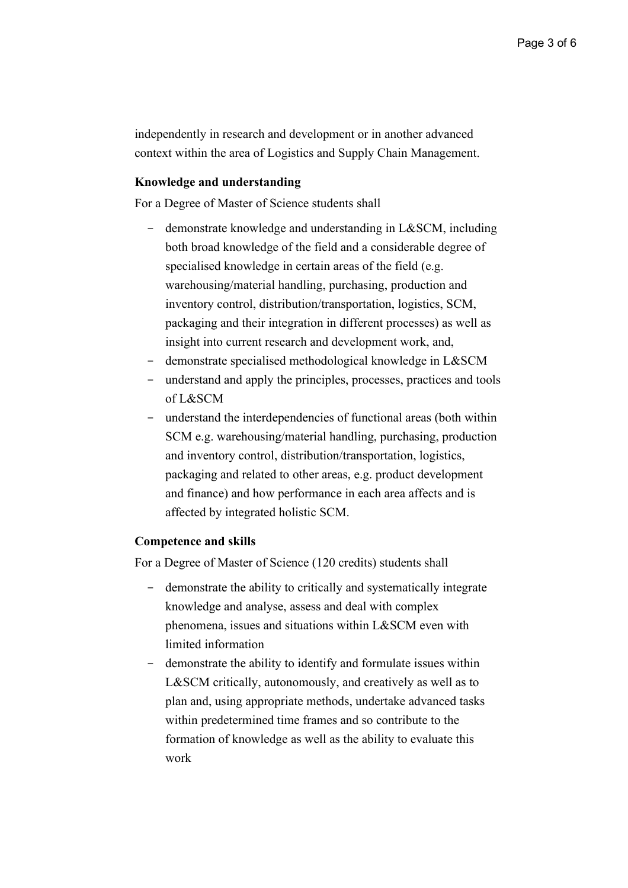independently in research and development or in another advanced context within the area of Logistics and Supply Chain Management.

#### **Knowledge and understanding**

For a Degree of Master of Science students shall

- demonstrate knowledge and understanding in L&SCM, including both broad knowledge of the field and a considerable degree of specialised knowledge in certain areas of the field (e.g. warehousing/material handling, purchasing, production and inventory control, distribution/transportation, logistics, SCM, packaging and their integration in different processes) as well as insight into current research and development work, and,
- demonstrate specialised methodological knowledge in L&SCM
- understand and apply the principles, processes, practices and tools of L&SCM
- understand the interdependencies of functional areas (both within SCM e.g. warehousing/material handling, purchasing, production and inventory control, distribution/transportation, logistics, packaging and related to other areas, e.g. product development and finance) and how performance in each area affects and is affected by integrated holistic SCM.

#### **Competence and skills**

For a Degree of Master of Science (120 credits) students shall

- demonstrate the ability to critically and systematically integrate knowledge and analyse, assess and deal with complex phenomena, issues and situations within L&SCM even with limited information
- demonstrate the ability to identify and formulate issues within L&SCM critically, autonomously, and creatively as well as to plan and, using appropriate methods, undertake advanced tasks within predetermined time frames and so contribute to the formation of knowledge as well as the ability to evaluate this work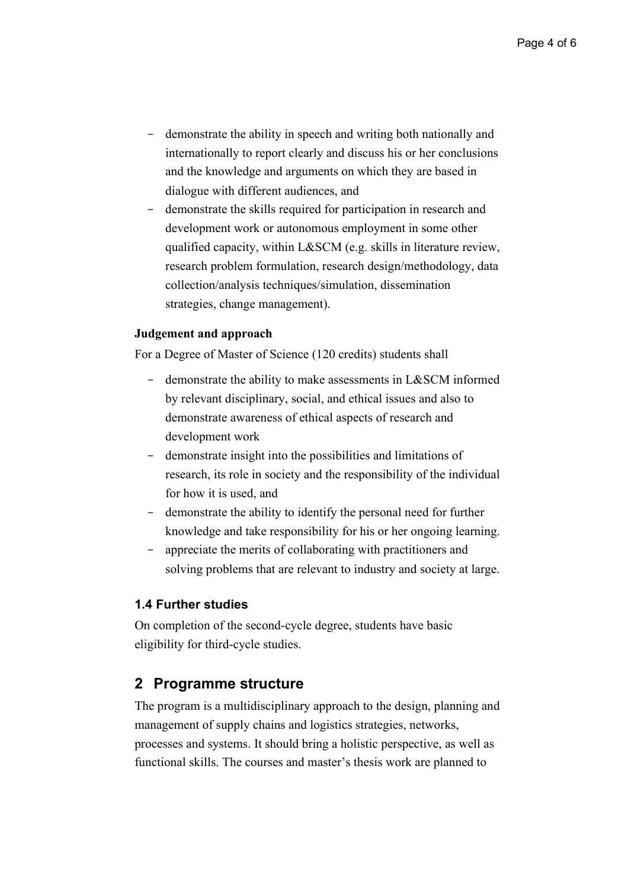- demonstrate the ability in speech and writing both nationally and internationally to report clearly and discuss his or her conclusions and the knowledge and arguments on which they are based in dialogue with different audiences, and
- demonstrate the skills required for participation in research and development work or autonomous employment in some other qualified capacity, within L&SCM (e.g. skills in literature review, research problem formulation, research design/methodology, data collection/analysis techniques/simulation, dissemination strategies, change management).

#### **Judgement and approach**

For a Degree of Master of Science (120 credits) students shall

- demonstrate the ability to make assessments in L&SCM informed by relevant disciplinary, social, and ethical issues and also to demonstrate awareness of ethical aspects of research and development work
- demonstrate insight into the possibilities and limitations of research, its role in society and the responsibility of the individual for how it is used, and
- demonstrate the ability to identify the personal need for further knowledge and take responsibility for his or her ongoing learning.
- appreciate the merits of collaborating with practitioners and solving problems that are relevant to industry and society at large.

#### **1.4 Further studies**

On completion of the second-cycle degree, students have basic eligibility for third-cycle studies.

# **2 Programme structure**

The program is a multidisciplinary approach to the design, planning and management of supply chains and logistics strategies, networks, processes and systems. It should bring a holistic perspective, as well as functional skills. The courses and master's thesis work are planned to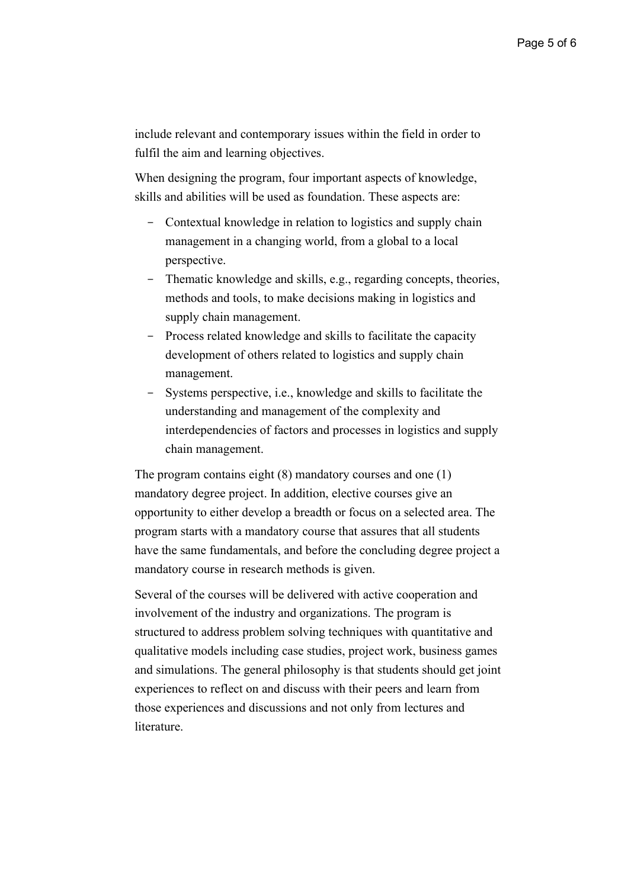include relevant and contemporary issues within the field in order to fulfil the aim and learning objectives.

When designing the program, four important aspects of knowledge, skills and abilities will be used as foundation. These aspects are:

- Contextual knowledge in relation to logistics and supply chain management in a changing world, from a global to a local perspective.
- Thematic knowledge and skills, e.g., regarding concepts, theories, methods and tools, to make decisions making in logistics and supply chain management.
- Process related knowledge and skills to facilitate the capacity development of others related to logistics and supply chain management.
- Systems perspective, i.e., knowledge and skills to facilitate the understanding and management of the complexity and interdependencies of factors and processes in logistics and supply chain management.

The program contains eight (8) mandatory courses and one (1) mandatory degree project. In addition, elective courses give an opportunity to either develop a breadth or focus on a selected area. The program starts with a mandatory course that assures that all students have the same fundamentals, and before the concluding degree project a mandatory course in research methods is given.

Several of the courses will be delivered with active cooperation and involvement of the industry and organizations. The program is structured to address problem solving techniques with quantitative and qualitative models including case studies, project work, business games and simulations. The general philosophy is that students should get joint experiences to reflect on and discuss with their peers and learn from those experiences and discussions and not only from lectures and literature.